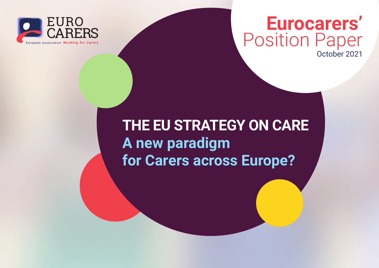

### **Eurocarers'** Position Paper October 2021

### **THE EU STRATEGY ON CARE A new paradigm for Carers across Europe?**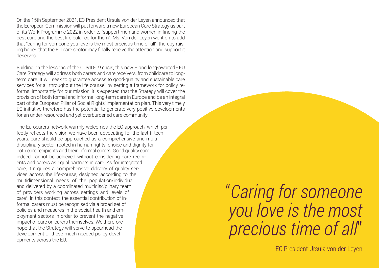On the 15th September 2021, EC President Ursula von der Leyen announced that the European Commission will put forward a new European Care Strategy as part of its Work Programme 2022 in order to "support men and women in finding the best care and the best life balance for them". Ms. Von der Leyen went on to add that "caring for someone you love is the most precious time of all", thereby raising hopes that the EU care sector may finally receive the attention and support it deserves.

Building on the lessons of the COVID-19 crisis, this new – and long-awaited - EU Care Strategy will address both carers and care receivers, from childcare to longterm care. It will seek to guarantee access to good-quality and sustainable care services for all throughout the life course1 by setting a framework for policy reforms. Importantly for our mission, it is expected that the Strategy will cover the provision of both formal and informal long-term care in Europe and be an integral part of the European Pillar of Social Rights' implementation plan. This very timely EC initiative therefore has the potential to generate very positive developments for an under-resourced and yet overburdened care community.

The Eurocarers network warmly welcomes the EC approach, which perfectly reflects the vision we have been advocating for the last fifteen years: care should be approached as a comprehensive and multidisciplinary sector, rooted in human rights, choice and dignity for both care recipients and their informal carers. Good quality care indeed cannot be achieved without considering care recipients and carers as equal partners in care. As for integrated care, it requires a comprehensive delivery of quality services across the life-course, designed according to the multidimensional needs of the population/individual and delivered by a coordinated multidisciplinary team of providers working across settings and levels of care2 . In this context, the essential contribution of informal carers must be recognised via a broad set of policies and measures in the social, health and employment sectors in order to prevent the negative impact of care on carers themselves. We therefore hope that the Strategy will serve to spearhead the development of these much-needed policy developments across the EU.

### "*Caring for someone you love is the most precious time of all*"

EC President Ursula von der Leyen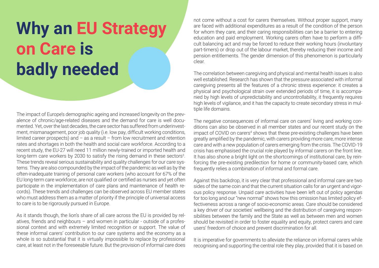# **Why an EU Strategy on Care is badly needed**

The impact of Europe's demographic ageing and increased longevity on the prevalence of chronic/age-related diseases and the demand for care is well documented. Yet, over the last decades, the care sector has suffered from underinvestment, mismanagement, poor job quality (i.e. low pay, difficult working conditions, limited career prospects) and – as a result – from low recruitment and retention rates and shortages in both the health and social care workforce. According to a recent study, the EU-27 will need 11 million newly-trained or imported health and long-term care workers by 2030 to satisfy the rising demand in these sectors<sup>3</sup>. These trends reveal serious sustainability and quality challenges for our care systems. They are also compounded by the impact of the pandemic as well as by the often-inadequate training of personal care workers (who account for 67% of the EU long-term care workforce, are not qualified or certified as nurses and yet often participate in the implementation of care plans and maintenance of health records). These trends and challenges can be observed across EU member states who must address them as a matter of priority if the principle of universal access to care is to be rigorously pursued in Europe.

As it stands though, the lion's share of all care across the EU is provided by relatives, friends and neighbours – and women in particular - outside of a professional context and with extremely limited recognition or support. The value of these informal carers' contribution to our care systems and the economy as a whole is so substantial that it is virtually impossible to replace by professional care, at least not in the foreseeable future. But the provision of informal care does not come without a cost for carers themselves. Without proper support, many are faced with additional expenditures as a result of the condition of the person for whom they care, and their caring responsibilities can be a barrier to entering education and paid employment. Working carers often have to perform a difficult balancing act and may be forced to reduce their working hours (involuntary part-timers) or drop out of the labour market, thereby reducing their income and pension entitlements. The gender dimension of this phenomenon is particularly clear.

The correlation between caregiving and physical and mental health issues is also well established. Research has shown that the pressure associated with informal caregiving presents all the features of a chronic stress experience: it creates a physical and psychological strain over extended periods of time, it is accompanied by high levels of unpredictability and uncontrollability, it frequently requires high levels of vigilance, and it has the capacity to create secondary stress in multiple life domains.

The negative consequences of informal care on carers' living and working conditions can also be observed in all member states and our recent study on the impact of COVID on carers<sup>4</sup> shows that these pre-existing challenges have been greatly amplified by the pandemic, with carers providing more care, more intense care and with a new population of carers emerging from the crisis. The COVID-19 crisis has emphasised the crucial role played by informal carers on the front line. It has also shone a bright light on the shortcomings of institutional care, by reinforcing the pre-existing predilection for home or community-based care, which frequently relies a combination of informal and formal care.

Against this backdrop, it is very clear that professional and informal care are two sides of the same coin and that the current situation calls for an urgent and vigorous policy response. Unpaid care activities have been left out of policy agendas for too long and our "new normal" shows how this omission has limited policy effectiveness across a range of socio-economic areas. Care should be considered a key driver of our societies' wellbeing and the distribution of caregiving responsibilities between the family and the State as well as between men and women should be revisited in order to foster equality and equity, protect carers and care users' freedom of choice and prevent discrimination for all.

It is imperative for governments to alleviate the reliance on informal carers while recognising and supporting the central role they play, provided that it is based on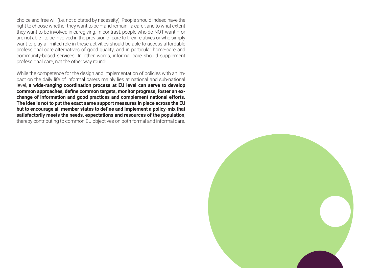choice and free will (i.e. not dictated by necessity). People should indeed have the right to choose whether they want to be – and remain - a carer, and to what extent they want to be involved in caregiving. In contrast, people who do NOT want – or are not able - to be involved in the provision of care to their relatives or who simply want to play a limited role in these activities should be able to access affordable professional care alternatives of good quality, and in particular home-care and community-based services. In other words, informal care should supplement professional care, not the other way round!

While the competence for the design and implementation of policies with an impact on the daily life of informal carers mainly lies at national and sub-national level, **a wide-ranging coordination process at EU level can serve to develop common approaches, define common targets, monitor progress, foster an exchange of information and good practices and complement national efforts. The idea is not to put the exact same support measures in place across the EU but to encourage all member states to define and implement a policy-mix that satisfactorily meets the needs, expectations and resources of the population**, thereby contributing to common EU objectives on both formal and informal care.

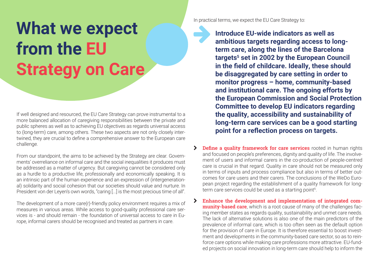# **What we expect from the EU Strategy on Care**

If well designed and resourced, the EU Care Strategy can prove instrumental to a more balanced allocation of caregiving responsibilities between the private and public spheres as well as to achieving EU objectives as regards universal access to (long-term) care, among others. These two aspects are not only closely intertwined, they are crucial to define a comprehensive answer to the European care challenge.

From our standpoint, the aims to be achieved by the Strategy are clear. Governments' overreliance on informal care and the social inequalities it produces must be addressed as a matter of urgency. But caregiving cannot be considered only as a hurdle to a productive life, professionally and economically speaking. It is an intrinsic part of the human experience and an expression of (intergenerational) solidarity and social cohesion that our societies should value and nurture. In President von der Leyen's own words, "caring [...] is the most precious time of all".

The development of a more care(r)-friendly policy environment requires a mix of measures in various areas. While access to good-quality professional care services is - and should remain - the foundation of universal access to care in Europe, informal carers should be recognised and treated as partners in care.

In practical terms, we expect the EU Care Strategy to:

**Introduce EU-wide indicators as well as ambitious targets regarding access to longterm care, along the lines of the Barcelona**  targets<sup>5</sup> set in 2002 by the European Council **in the field of childcare. Ideally, these should be disaggregated by care setting in order to monitor progress – home, community-based and institutional care. The ongoing efforts by the European Commission and Social Protection Committee to develop EU indicators regarding the quality, accessibility and sustainability of long-term care services can be a good starting point for a reflection process on targets.**

- **>** Define a quality framework for care services rooted in human rights and focused on people's preferences, dignity and quality of life. The involvement of users and informal carers in the co-production of people-centred care is crucial in that regard. Quality in care should not be measured only in terms of inputs and process compliance but also in terms of better outcomes for care users and their carers. The conclusions of the WeDo European project regarding the establishment of a quality framework for longterm care services could be used as a starting point $6$ .
- ¦ **Enhance the development and implementation of integrated community-based care**, which is a root cause of many of the challenges facing member states as regards quality, sustainability and unmet care needs. The lack of alternative solutions is also one of the main predictors of the prevalence of informal care, which is too often seen as the default option for the provision of care in Europe. It is therefore essential to boost investment and developments in the community-based care sector, so as to reinforce care options while making care professions more attractive. EU-funded projects on social innovation in long-term care should help to inform the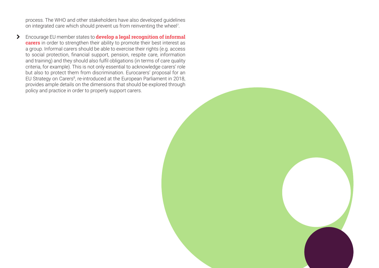process. The WHO and other stakeholders have also developed guidelines on integrated care which should prevent us from reinventing the wheel7 .

¦ Encourage EU member states to **develop a legal recognition of informal carers** in order to strengthen their ability to promote their best interest as a group. Informal carers should be able to exercise their rights (e.g. access to social protection, financial support, pension, respite care, information and training) and they should also fulfil obligations (in terms of care quality criteria, for example). This is not only essential to acknowledge carers' role but also to protect them from discrimination. Eurocarers' proposal for an EU Strategy on Carers<sup>8</sup>, re-introduced at the European Parliament in 2018, provides ample details on the dimensions that should be explored through policy and practice in order to properly support carers.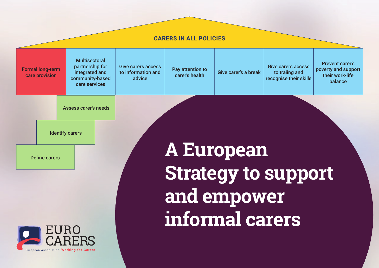#### **CARERS IN ALL POLICIES**



**informal carers**

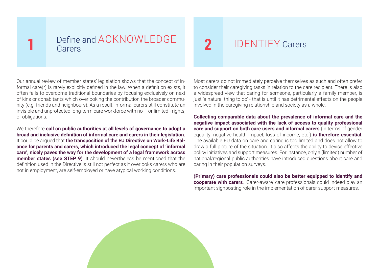#### **1** Define and ACKNOWLEDGE **Carers**

Our annual review of member states' legislation shows that the concept of informal care(r) is rarely explicitly defined in the law. When a definition exists, it often fails to overcome traditional boundaries by focusing exclusively on next of kins or cohabitants which overlooking the contribution the broader community (e.g. friends and neighbours). As a result, informal carers still constitute an invisible and unprotected long-term care workforce with no – or limited - rights, or obligations.

We therefore **call on public authorities at all levels of governance to adopt a broad and inclusive definition of informal care and carers in their legislation.** It could be argued that **the transposition of the EU Directive on Work-Life Balance for parents and carers, which introduced the legal concept of 'informal care', nicely paves the way for the development of a legal framework across member states (see STEP 9)**. It should nevertheless be mentioned that the definition used in the Directive is still not perfect as it overlooks carers who are not in employment, are self-employed or have atypical working conditions.

Most carers do not immediately perceive themselves as such and often prefer to consider their caregiving tasks in relation to the care recipient. There is also a widespread view that caring for someone, particularly a family member, is just 'a natural thing to do' - that is until it has detrimental effects on the people involved in the caregiving relationship and society as a whole.

**2** IDENTIFY Carers

**Collecting comparable data about the prevalence of informal care and the negative impact associated with the lack of access to quality professional care and support on both care users and informal carers** (in terms of gender equality, negative health impact, loss of income, etc.) **is therefore essential**. The available EU data on care and caring is too limited and does not allow to draw a full picture of the situation. It also affects the ability to devise effective policy initiatives and support measures. For instance, only a (limited) number of national/regional public authorities have introduced questions about care and caring in their population surveys.

**(Primary) care professionals could also be better equipped to identify and cooperate with carers**. 'Carer-aware' care professionals could indeed play an important signposting role in the implementation of carer support measures.

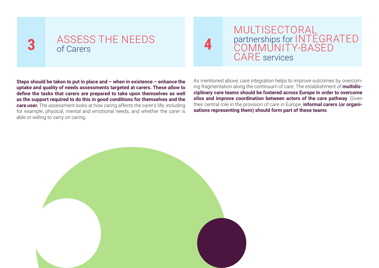### **3** ASSESS THE NEEDS of Carers

**MULTISECTORAL** partnerships for INTEGRATED COMMUNITY-BASED CARE services

**Steps should be taken to put in place and – when in existence – enhance the uptake and quality of needs assessments targeted at carers. These allow to define the tasks that carers are prepared to take upon themselves as well as the support required to do this in good conditions for themselves and the care user.** The assessment looks at how caring affects the carer's life, including for example, physical, mental and emotional needs, and whether the carer is able or willing to carry on caring.

As mentioned above, care integration helps to improve outcomes by overcoming fragmentation along the continuum of care. The establishment of **multidisciplinary care teams should be fostered across Europe in order to overcome silos and improve coordination between actors of the care pathway**. Given their central role in the provision of care in Europe, **informal carers (or organisations representing them) should form part of these teams**.

**4**

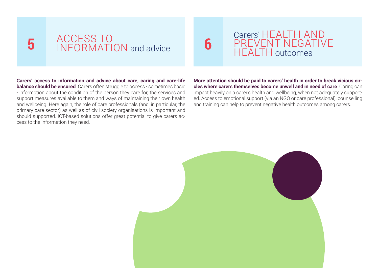# **5** ACCESS TO<br>
INFORMATION and advice

Carers' HEALTH AND PREVENT NEGATIVE HEALTH outcomes

**Carers' access to information and advice about care, caring and care-life balance should be ensured**. Carers often struggle to access - sometimes basic - information about the condition of the person they care for, the services and support measures available to them and ways of maintaining their own health and wellbeing. Here again, the role of care professionals (and, in particular, the primary care sector) as well as of civil society organisations is important and should supported. ICT-based solutions offer great potential to give carers access to the information they need.

**More attention should be paid to carers' health in order to break vicious circles where carers themselves become unwell and in need of care**. Caring can impact heavily on a carer's health and wellbeing, when not adequately supported. Access to emotional support (via an NGO or care professional), counselling and training can help to prevent negative health outcomes among carers.



**6**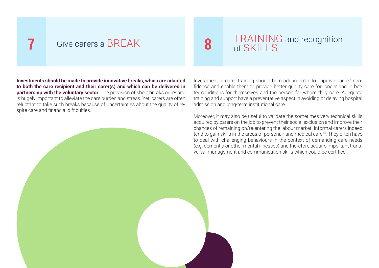#### **7** Give carers a BREAK

**Investments should be made to provide innovative breaks, which are adapted to both the care recipient and their carer(s) and which can be delivered in partnership with the voluntary sector**. The provision of short breaks or respite is hugely important to alleviate the care burden and stress. Yet, carers are often reluctant to take such breaks because of uncertainties about the quality of respite care and financial difficulties.

## **8** TRAINING and recognition of SKILLS

Investment in carer training should be made in order to improve carers' confidence and enable them to provide better quality care for longer and in better conditions for themselves and the person for whom they care. Adequate training and support have a preventative aspect in avoiding or delaying hospital admission and long-term institutional care.

Moreover, it may also be useful to validate the sometimes very technical skills acquired by carers on the job to prevent their social exclusion and improve their chances of remaining on/re-entering the labour market. Informal carers indeed tend to gain skills in the areas of personal<sup>9</sup> and medical care<sup>10</sup>. They often have to deal with challenging behaviours in the context of demanding care needs (e.g. dementia or other mental illnesses) and therefore acquire important transversal management and communication skills which could be certified.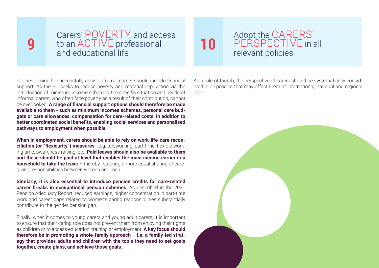### **9**

Carers' POVERTY and access to an ACTIVE professional and educational life

#### **10** Adopt the CARERS'<br>FERSPECTIVE in a PERSPECTIVE in all relevant policies

Policies aiming to successfully assist informal carers should include financial support. As the EU seeks to reduce poverty and material deprivation via the introduction of minimum income schemes, the specific situation and needs of informal carers, who often face poverty as a result of their contribution, cannot be overlooked. **A range of financial support options should therefore be made available to them - such as minimum incomes schemes, personal care budgets or care allowances, compensation for care-related costs, in addition to better coordinated social benefits, enabling social services and personalised pathways to employment when possible**.

**When in employment, carers should be able to rely on work-life-care reconciliation (or "flexicurity") measures** - e.g. teleworking, part-time, flexible working time, awareness raising, etc. **Paid leaves should also be available to them and these should be paid at level that enables the main income earner in a household to take the leave** – thereby fostering a more equal sharing of caregiving responsibilities between women and men.

**Similarly, it is also essential to introduce pension credits for care-related career breaks in occupational pension schemes**. As described in the 2021 Pension Adequacy Report, reduced earnings, higher concentration in part-time work and career gaps related to women's caring responsibilities substantially contribute to the gender pension gap.

Finally, when it comes to young carers and young adult carers, it is important to ensure that their caring role does not prevent them from enjoying their rights as children or to access education, training or employment. **A key focus should therefore be in promoting a whole-family approach – i.e. a family-led strategy that provides adults and children with the tools they need to set goals together, create plans, and achieve those goals**.

As a rule of thumb, the perspective of carers should be systematically considered in all policies that may affect them at international, national and regional level.

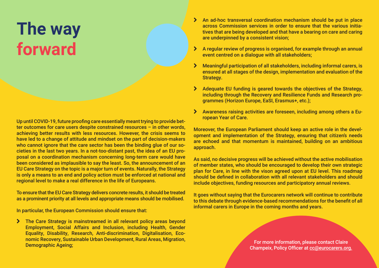### **The way forward**

Up until COVID-19, future proofing care essentially meant trying to provide better outcomes for care users despite constrained resources – in other words, achieving better results with less resources. However, the crisis seems to have led to a change of attitude and mindset on the part of decision-makers who cannot ignore that the care sector has been the binding glue of our societies in the last two years. In a not-too-distant past, the idea of an EU proposal on a coordination mechanism concerning long-term care would have been considered as implausible to say the least. So, the announcement of an EU Care Strategy on the topic is a major turn of events. Naturally, the Strategy is only a means to an end and policy action must be enforced at national and regional level to make a real difference in the life of Europeans.

To ensure that the EU Care Strategy delivers concrete results, it should be treated as a prominent priority at all levels and appropriate means should be mobilised.

In particular, the European Commission should ensure that:

> The Care Strategy is mainstreamed in all relevant policy areas beyond Employment, Social Affairs and Inclusion, including Health, Gender Equality, Disability, Research, Anti-discrimination, Digitalisation, Economic Recovery, Sustainable Urban Development, Rural Areas, Migration, Demographic Ageing;

- > An ad-hoc transversal coordination mechanism should be put in place across Commission services in order to ensure that the various initiatives that are being developed and that have a bearing on care and caring are underpinned by a consistent vision;
- > A regular review of progress is organised, for example through an annual event centred on a dialogue with all stakeholders;
- > Meaningful participation of all stakeholders, including informal carers, is ensured at all stages of the design, implementation and evaluation of the Strategy.
- > Adequate EU funding is geared towards the objectives of the Strategy, including through the Recovery and Resilience Funds and Research programmes (Horizon Europe, EaSI, Erasmus+, etc.);
- > Awareness raising activities are foreseen, including among others a European Year of Care.

Moreover, the European Parliament should keep an active role in the development and implementation of the Strategy, ensuring that citizen's needs are echoed and that momentum is maintained, building on an ambitious approach.

As said, no decisive progress will be achieved without the active mobilisation of member states, who should be encouraged to develop their own strategic plan for Care, in line with the vison agreed upon at EU level. This roadmap should be defined in collaboration with all relevant stakeholders and should include objectives, funding resources and participatory annual reviews.

It goes without saying that the Eurocarers network will continue to contribute to this debate through evidence-based recommendations for the benefit of all informal carers in Europe in the coming months and years.

> For more information, please contact Claire Champeix, Policy Officer at [cc@eurocarers.org.](mailto:cc@eurocarers.org.)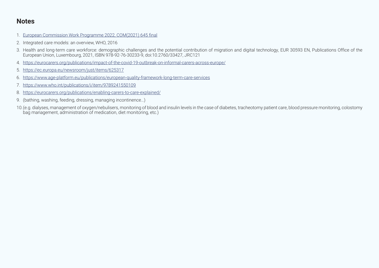#### **Notes**

- 1. [European Commission Work Programme 2022, COM\(2021\) 645 final](https://ec.europa.eu/info/sites/default/files/com2021_645_en.pdf)
- 2. Integrated care models: an overview, WHO, 2016
- 3. Health and long-term care workforce: demographic challenges and the potential contribution of migration and digital technology, EUR 30593 EN, Publications Office of the European Union, Luxembourg, 2021, ISBN 978-92-76-30233-9, doi:10.2760/33427, JRC121
- 4. <https://eurocarers.org/publications/impact-of-the-covid-19-outbreak-on-informal-carers-across-europe/>
- 5. <https://ec.europa.eu/newsroom/just/items/625317>
- 6. <https://www.age-platform.eu/publications/european-quality-framework-long-term-care-services>
- 7. <https://www.who.int/publications/i/item/9789241550109>
- 8. <https://eurocarers.org/publications/enabling-carers-to-care-explained/>
- 9. (bathing, washing, feeding, dressing, managing incontinence…)
- 10.(e.g. dialyses, management of oxygen/nebulisers, monitoring of blood and insulin levels in the case of diabetes, tracheotomy patient care, blood pressure monitoring, colostomy bag management, administration of medication, diet monitoring, etc.)